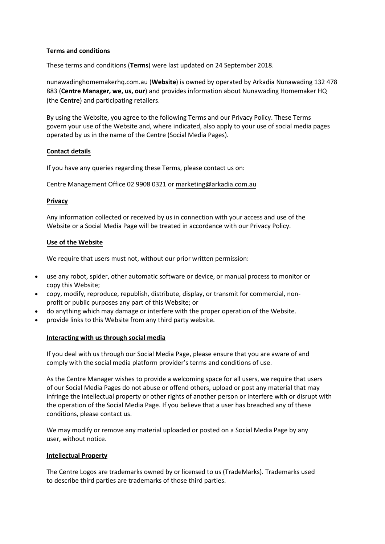# **Terms and conditions**

These terms and conditions (**Terms**) were last updated on 24 September 2018.

nunawadinghomemakerhq.com.au (**Website**) is owned by operated by Arkadia Nunawading 132 478 883 (**Centre Manager, we, us, our**) and provides information about Nunawading Homemaker HQ (the **Centre**) and participating retailers.

By using the Website, you agree to the following Terms and our Privacy Policy. These Terms govern your use of the Website and, where indicated, also apply to your use of social media pages operated by us in the name of the Centre (Social Media Pages).

## **Contact details**

If you have any queries regarding these Terms, please contact us on:

Centre Management Office 02 9908 0321 or market[ing@arkadia.com.au](mailto:marketing@arkadia.com.au)

## **Privacy**

Any information collected or received by us in connection with your access and use of the Website or a Social Media Page will be treated in accordance with our Privacy Policy.

## **Use of the Website**

We require that users must not, without our prior written permission:

- use any robot, spider, other automatic software or device, or manual process to monitor or copy this Website;
- copy, modify, reproduce, republish, distribute, display, or transmit for commercial, nonprofit or public purposes any part of this Website; or
- do anything which may damage or interfere with the proper operation of the Website.
- provide links to this Website from any third party website.

# **Interacting with us through social media**

If you deal with us through our Social Media Page, please ensure that you are aware of and comply with the social media platform provider's terms and conditions of use.

As the Centre Manager wishes to provide a welcoming space for all users, we require that users of our Social Media Pages do not abuse or offend others, upload or post any material that may infringe the intellectual property or other rights of another person or interfere with or disrupt with the operation of the Social Media Page. If you believe that a user has breached any of these conditions, please contact us.

We may modify or remove any material uploaded or posted on a Social Media Page by any user, without notice.

#### **Intellectual Property**

The Centre Logos are trademarks owned by or licensed to us (TradeMarks). Trademarks used to describe third parties are trademarks of those third parties.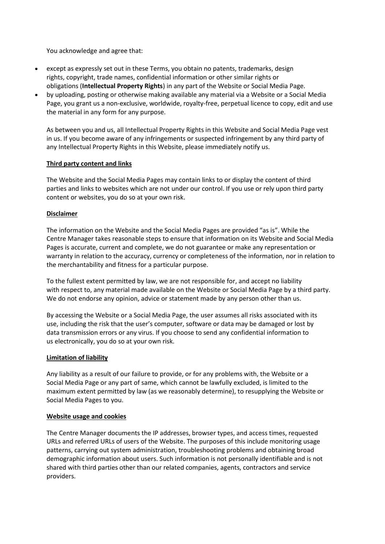You acknowledge and agree that:

- except as expressly set out in these Terms, you obtain no patents, trademarks, design rights, copyright, trade names, confidential information or other similar rights or obligations (**Intellectual Property Rights**) in any part of the Website or Social Media Page.
- by uploading, posting or otherwise making available any material via a Website or a Social Media Page, you grant us a non-exclusive, worldwide, royalty-free, perpetual licence to copy, edit and use the material in any form for any purpose.

As between you and us, all Intellectual Property Rights in this Website and Social Media Page vest in us. If you become aware of any infringements or suspected infringement by any third party of any Intellectual Property Rights in this Website, please immediately notify us.

# **Third party content and links**

The Website and the Social Media Pages may contain links to or display the content of third parties and links to websites which are not under our control. If you use or rely upon third party content or websites, you do so at your own risk.

# **Disclaimer**

The information on the Website and the Social Media Pages are provided "as is". While the Centre Manager takes reasonable steps to ensure that information on its Website and Social Media Pages is accurate, current and complete, we do not guarantee or make any representation or warranty in relation to the accuracy, currency or completeness of the information, nor in relation to the merchantability and fitness for a particular purpose.

To the fullest extent permitted by law, we are not responsible for, and accept no liability with respect to, any material made available on the Website or Social Media Page by a third party. We do not endorse any opinion, advice or statement made by any person other than us.

By accessing the Website or a Social Media Page, the user assumes all risks associated with its use, including the risk that the user's computer, software or data may be damaged or lost by data transmission errors or any virus. If you choose to send any confidential information to us electronically, you do so at your own risk.

# **Limitation of liability**

Any liability as a result of our failure to provide, or for any problems with, the Website or a Social Media Page or any part of same, which cannot be lawfully excluded, is limited to the maximum extent permitted by law (as we reasonably determine), to resupplying the Website or Social Media Pages to you.

# **Website usage and cookies**

The Centre Manager documents the IP addresses, browser types, and access times, requested URLs and referred URLs of users of the Website. The purposes of this include monitoring usage patterns, carrying out system administration, troubleshooting problems and obtaining broad demographic information about users. Such information is not personally identifiable and is not shared with third parties other than our related companies, agents, contractors and service providers.